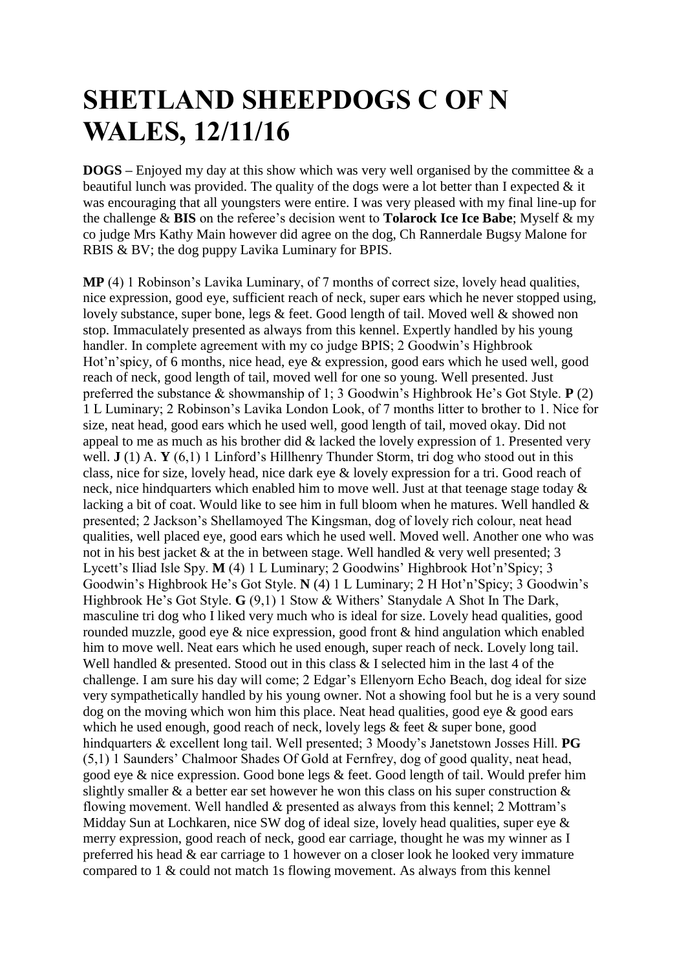## **SHETLAND SHEEPDOGS C OF N WALES, 12/11/16**

**DOGS –** Enjoyed my day at this show which was very well organised by the committee & a beautiful lunch was provided. The quality of the dogs were a lot better than I expected  $\&$  it was encouraging that all youngsters were entire. I was very pleased with my final line-up for the challenge & **BIS** on the referee's decision went to **Tolarock Ice Ice Babe**; Myself & my co judge Mrs Kathy Main however did agree on the dog, Ch Rannerdale Bugsy Malone for RBIS & BV; the dog puppy Lavika Luminary for BPIS.

**MP** (4) 1 Robinson's Lavika Luminary, of 7 months of correct size, lovely head qualities, nice expression, good eye, sufficient reach of neck, super ears which he never stopped using, lovely substance, super bone, legs & feet. Good length of tail. Moved well & showed non stop. Immaculately presented as always from this kennel. Expertly handled by his young handler. In complete agreement with my co judge BPIS; 2 Goodwin's Highbrook Hot'n'spicy, of 6 months, nice head, eye & expression, good ears which he used well, good reach of neck, good length of tail, moved well for one so young. Well presented. Just preferred the substance & showmanship of 1; 3 Goodwin's Highbrook He's Got Style. **P** (2) 1 L Luminary; 2 Robinson's Lavika London Look, of 7 months litter to brother to 1. Nice for size, neat head, good ears which he used well, good length of tail, moved okay. Did not appeal to me as much as his brother did & lacked the lovely expression of 1. Presented very well. **J** (1) A. **Y** (6,1) 1 Linford's Hillhenry Thunder Storm, tri dog who stood out in this class, nice for size, lovely head, nice dark eye & lovely expression for a tri. Good reach of neck, nice hindquarters which enabled him to move well. Just at that teenage stage today & lacking a bit of coat. Would like to see him in full bloom when he matures. Well handled  $\&$ presented; 2 Jackson's Shellamoyed The Kingsman, dog of lovely rich colour, neat head qualities, well placed eye, good ears which he used well. Moved well. Another one who was not in his best jacket & at the in between stage. Well handled & very well presented; 3 Lycett's Iliad Isle Spy. **M** (4) 1 L Luminary; 2 Goodwins' Highbrook Hot'n'Spicy; 3 Goodwin's Highbrook He's Got Style. **N** (4) 1 L Luminary; 2 H Hot'n'Spicy; 3 Goodwin's Highbrook He's Got Style. **G** (9,1) 1 Stow & Withers' Stanydale A Shot In The Dark, masculine tri dog who I liked very much who is ideal for size. Lovely head qualities, good rounded muzzle, good eye & nice expression, good front & hind angulation which enabled him to move well. Neat ears which he used enough, super reach of neck. Lovely long tail. Well handled & presented. Stood out in this class & I selected him in the last 4 of the challenge. I am sure his day will come; 2 Edgar's Ellenyorn Echo Beach, dog ideal for size very sympathetically handled by his young owner. Not a showing fool but he is a very sound dog on the moving which won him this place. Neat head qualities, good eve & good ears which he used enough, good reach of neck, lovely legs & feet & super bone, good hindquarters & excellent long tail. Well presented; 3 Moody's Janetstown Josses Hill. **PG** (5,1) 1 Saunders' Chalmoor Shades Of Gold at Fernfrey, dog of good quality, neat head, good eye & nice expression. Good bone legs & feet. Good length of tail. Would prefer him slightly smaller & a better ear set however he won this class on his super construction & flowing movement. Well handled & presented as always from this kennel; 2 Mottram's Midday Sun at Lochkaren, nice SW dog of ideal size, lovely head qualities, super eye & merry expression, good reach of neck, good ear carriage, thought he was my winner as I preferred his head & ear carriage to 1 however on a closer look he looked very immature compared to 1 & could not match 1s flowing movement. As always from this kennel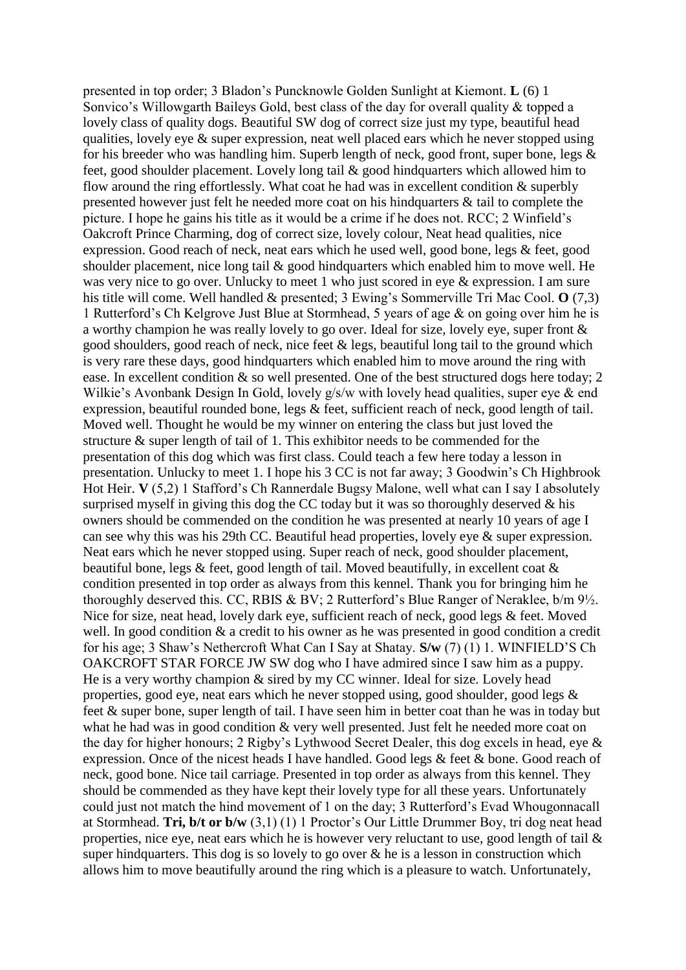presented in top order; 3 Bladon's Puncknowle Golden Sunlight at Kiemont. **L** (6) 1 Sonvico's Willowgarth Baileys Gold, best class of the day for overall quality & topped a lovely class of quality dogs. Beautiful SW dog of correct size just my type, beautiful head qualities, lovely eye & super expression, neat well placed ears which he never stopped using for his breeder who was handling him. Superb length of neck, good front, super bone, legs  $\&$ feet, good shoulder placement. Lovely long tail & good hindquarters which allowed him to flow around the ring effortlessly. What coat he had was in excellent condition & superbly presented however just felt he needed more coat on his hindquarters & tail to complete the picture. I hope he gains his title as it would be a crime if he does not. RCC; 2 Winfield's Oakcroft Prince Charming, dog of correct size, lovely colour, Neat head qualities, nice expression. Good reach of neck, neat ears which he used well, good bone, legs & feet, good shoulder placement, nice long tail & good hindquarters which enabled him to move well. He was very nice to go over. Unlucky to meet 1 who just scored in eye & expression. I am sure his title will come. Well handled & presented; 3 Ewing's Sommerville Tri Mac Cool. **O** (7,3) 1 Rutterford's Ch Kelgrove Just Blue at Stormhead, 5 years of age & on going over him he is a worthy champion he was really lovely to go over. Ideal for size, lovely eye, super front & good shoulders, good reach of neck, nice feet & legs, beautiful long tail to the ground which is very rare these days, good hindquarters which enabled him to move around the ring with ease. In excellent condition & so well presented. One of the best structured dogs here today; 2 Wilkie's Avonbank Design In Gold, lovely g/s/w with lovely head qualities, super eye & end expression, beautiful rounded bone, legs & feet, sufficient reach of neck, good length of tail. Moved well. Thought he would be my winner on entering the class but just loved the structure & super length of tail of 1. This exhibitor needs to be commended for the presentation of this dog which was first class. Could teach a few here today a lesson in presentation. Unlucky to meet 1. I hope his 3 CC is not far away; 3 Goodwin's Ch Highbrook Hot Heir. **V** (5,2) 1 Stafford's Ch Rannerdale Bugsy Malone, well what can I say I absolutely surprised myself in giving this dog the CC today but it was so thoroughly deserved  $\&$  his owners should be commended on the condition he was presented at nearly 10 years of age I can see why this was his 29th CC. Beautiful head properties, lovely eye & super expression. Neat ears which he never stopped using. Super reach of neck, good shoulder placement, beautiful bone, legs & feet, good length of tail. Moved beautifully, in excellent coat & condition presented in top order as always from this kennel. Thank you for bringing him he thoroughly deserved this. CC, RBIS & BV; 2 Rutterford's Blue Ranger of Neraklee, b/m 9½. Nice for size, neat head, lovely dark eye, sufficient reach of neck, good legs & feet. Moved well. In good condition  $\&$  a credit to his owner as he was presented in good condition a credit for his age; 3 Shaw's Nethercroft What Can I Say at Shatay. **S/w** (7) (1) 1. WINFIELD'S Ch OAKCROFT STAR FORCE JW SW dog who I have admired since I saw him as a puppy. He is a very worthy champion & sired by my CC winner. Ideal for size. Lovely head properties, good eye, neat ears which he never stopped using, good shoulder, good legs & feet & super bone, super length of tail. I have seen him in better coat than he was in today but what he had was in good condition & very well presented. Just felt he needed more coat on the day for higher honours; 2 Rigby's Lythwood Secret Dealer, this dog excels in head, eye & expression. Once of the nicest heads I have handled. Good legs & feet & bone. Good reach of neck, good bone. Nice tail carriage. Presented in top order as always from this kennel. They should be commended as they have kept their lovely type for all these years. Unfortunately could just not match the hind movement of 1 on the day; 3 Rutterford's Evad Whougonnacall at Stormhead. **Tri, b/t or b/w** (3,1) (1) 1 Proctor's Our Little Drummer Boy, tri dog neat head properties, nice eye, neat ears which he is however very reluctant to use, good length of tail & super hindquarters. This dog is so lovely to go over  $\&$  he is a lesson in construction which allows him to move beautifully around the ring which is a pleasure to watch. Unfortunately,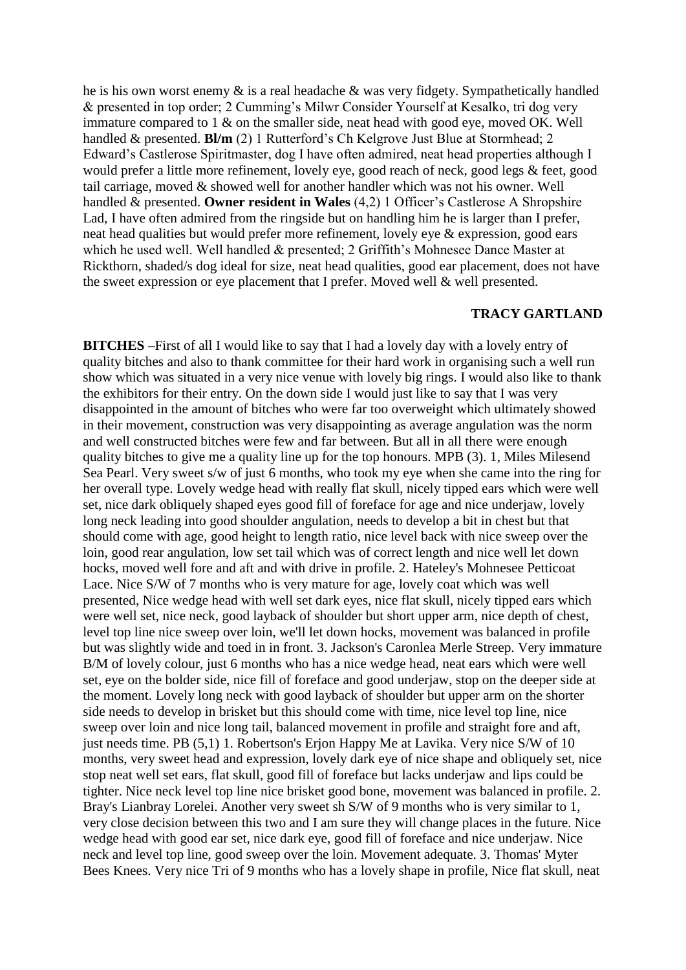he is his own worst enemy & is a real headache & was very fidgety. Sympathetically handled & presented in top order; 2 Cumming's Milwr Consider Yourself at Kesalko, tri dog very immature compared to 1 & on the smaller side, neat head with good eye, moved OK. Well handled & presented. **Bl/m** (2) 1 Rutterford's Ch Kelgrove Just Blue at Stormhead; 2 Edward's Castlerose Spiritmaster, dog I have often admired, neat head properties although I would prefer a little more refinement, lovely eye, good reach of neck, good legs & feet, good tail carriage, moved & showed well for another handler which was not his owner. Well handled & presented. **Owner resident in Wales** (4,2) 1 Officer's Castlerose A Shropshire Lad, I have often admired from the ringside but on handling him he is larger than I prefer, neat head qualities but would prefer more refinement, lovely eye & expression, good ears which he used well. Well handled & presented; 2 Griffith's Mohnesee Dance Master at Rickthorn, shaded/s dog ideal for size, neat head qualities, good ear placement, does not have the sweet expression or eye placement that I prefer. Moved well & well presented.

## **TRACY GARTLAND**

**BITCHES –**First of all I would like to say that I had a lovely day with a lovely entry of quality bitches and also to thank committee for their hard work in organising such a well run show which was situated in a very nice venue with lovely big rings. I would also like to thank the exhibitors for their entry. On the down side I would just like to say that I was very disappointed in the amount of bitches who were far too overweight which ultimately showed in their movement, construction was very disappointing as average angulation was the norm and well constructed bitches were few and far between. But all in all there were enough quality bitches to give me a quality line up for the top honours. MPB (3). 1, Miles Milesend Sea Pearl. Very sweet s/w of just 6 months, who took my eye when she came into the ring for her overall type. Lovely wedge head with really flat skull, nicely tipped ears which were well set, nice dark obliquely shaped eyes good fill of foreface for age and nice underjaw, lovely long neck leading into good shoulder angulation, needs to develop a bit in chest but that should come with age, good height to length ratio, nice level back with nice sweep over the loin, good rear angulation, low set tail which was of correct length and nice well let down hocks, moved well fore and aft and with drive in profile. 2. Hateley's Mohnesee Petticoat Lace. Nice S/W of 7 months who is very mature for age, lovely coat which was well presented, Nice wedge head with well set dark eyes, nice flat skull, nicely tipped ears which were well set, nice neck, good layback of shoulder but short upper arm, nice depth of chest, level top line nice sweep over loin, we'll let down hocks, movement was balanced in profile but was slightly wide and toed in in front. 3. Jackson's Caronlea Merle Streep. Very immature B/M of lovely colour, just 6 months who has a nice wedge head, neat ears which were well set, eye on the bolder side, nice fill of foreface and good underjaw, stop on the deeper side at the moment. Lovely long neck with good layback of shoulder but upper arm on the shorter side needs to develop in brisket but this should come with time, nice level top line, nice sweep over loin and nice long tail, balanced movement in profile and straight fore and aft, just needs time. PB (5,1) 1. Robertson's Erjon Happy Me at Lavika. Very nice S/W of 10 months, very sweet head and expression, lovely dark eye of nice shape and obliquely set, nice stop neat well set ears, flat skull, good fill of foreface but lacks underjaw and lips could be tighter. Nice neck level top line nice brisket good bone, movement was balanced in profile. 2. Bray's Lianbray Lorelei. Another very sweet sh S/W of 9 months who is very similar to 1, very close decision between this two and I am sure they will change places in the future. Nice wedge head with good ear set, nice dark eye, good fill of foreface and nice underjaw. Nice neck and level top line, good sweep over the loin. Movement adequate. 3. Thomas' Myter Bees Knees. Very nice Tri of 9 months who has a lovely shape in profile, Nice flat skull, neat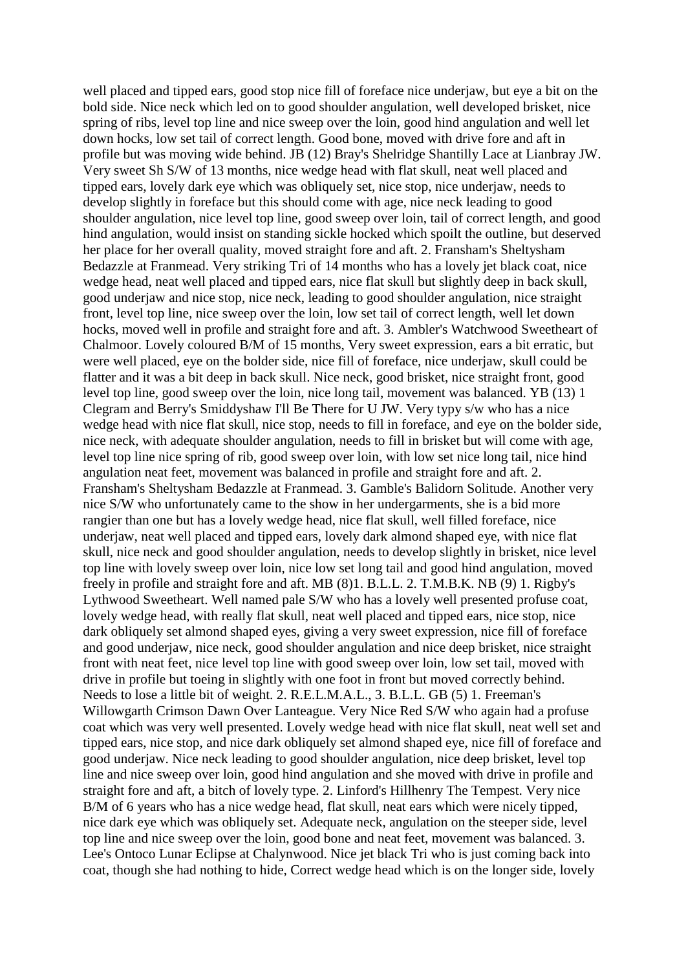well placed and tipped ears, good stop nice fill of foreface nice underjaw, but eye a bit on the bold side. Nice neck which led on to good shoulder angulation, well developed brisket, nice spring of ribs, level top line and nice sweep over the loin, good hind angulation and well let down hocks, low set tail of correct length. Good bone, moved with drive fore and aft in profile but was moving wide behind. JB (12) Bray's Shelridge Shantilly Lace at Lianbray JW. Very sweet Sh S/W of 13 months, nice wedge head with flat skull, neat well placed and tipped ears, lovely dark eye which was obliquely set, nice stop, nice underjaw, needs to develop slightly in foreface but this should come with age, nice neck leading to good shoulder angulation, nice level top line, good sweep over loin, tail of correct length, and good hind angulation, would insist on standing sickle hocked which spoilt the outline, but deserved her place for her overall quality, moved straight fore and aft. 2. Fransham's Sheltysham Bedazzle at Franmead. Very striking Tri of 14 months who has a lovely jet black coat, nice wedge head, neat well placed and tipped ears, nice flat skull but slightly deep in back skull, good underjaw and nice stop, nice neck, leading to good shoulder angulation, nice straight front, level top line, nice sweep over the loin, low set tail of correct length, well let down hocks, moved well in profile and straight fore and aft. 3. Ambler's Watchwood Sweetheart of Chalmoor. Lovely coloured B/M of 15 months, Very sweet expression, ears a bit erratic, but were well placed, eye on the bolder side, nice fill of foreface, nice underjaw, skull could be flatter and it was a bit deep in back skull. Nice neck, good brisket, nice straight front, good level top line, good sweep over the loin, nice long tail, movement was balanced. YB (13) 1 Clegram and Berry's Smiddyshaw I'll Be There for U JW. Very typy s/w who has a nice wedge head with nice flat skull, nice stop, needs to fill in foreface, and eye on the bolder side, nice neck, with adequate shoulder angulation, needs to fill in brisket but will come with age, level top line nice spring of rib, good sweep over loin, with low set nice long tail, nice hind angulation neat feet, movement was balanced in profile and straight fore and aft. 2. Fransham's Sheltysham Bedazzle at Franmead. 3. Gamble's Balidorn Solitude. Another very nice S/W who unfortunately came to the show in her undergarments, she is a bid more rangier than one but has a lovely wedge head, nice flat skull, well filled foreface, nice underjaw, neat well placed and tipped ears, lovely dark almond shaped eye, with nice flat skull, nice neck and good shoulder angulation, needs to develop slightly in brisket, nice level top line with lovely sweep over loin, nice low set long tail and good hind angulation, moved freely in profile and straight fore and aft. MB (8)1. B.L.L. 2. T.M.B.K. NB (9) 1. Rigby's Lythwood Sweetheart. Well named pale S/W who has a lovely well presented profuse coat, lovely wedge head, with really flat skull, neat well placed and tipped ears, nice stop, nice dark obliquely set almond shaped eyes, giving a very sweet expression, nice fill of foreface and good underjaw, nice neck, good shoulder angulation and nice deep brisket, nice straight front with neat feet, nice level top line with good sweep over loin, low set tail, moved with drive in profile but toeing in slightly with one foot in front but moved correctly behind. Needs to lose a little bit of weight. 2. R.E.L.M.A.L., 3. B.L.L. GB (5) 1. Freeman's Willowgarth Crimson Dawn Over Lanteague. Very Nice Red S/W who again had a profuse coat which was very well presented. Lovely wedge head with nice flat skull, neat well set and tipped ears, nice stop, and nice dark obliquely set almond shaped eye, nice fill of foreface and good underjaw. Nice neck leading to good shoulder angulation, nice deep brisket, level top line and nice sweep over loin, good hind angulation and she moved with drive in profile and straight fore and aft, a bitch of lovely type. 2. Linford's Hillhenry The Tempest. Very nice B/M of 6 years who has a nice wedge head, flat skull, neat ears which were nicely tipped, nice dark eye which was obliquely set. Adequate neck, angulation on the steeper side, level top line and nice sweep over the loin, good bone and neat feet, movement was balanced. 3. Lee's Ontoco Lunar Eclipse at Chalynwood. Nice jet black Tri who is just coming back into coat, though she had nothing to hide, Correct wedge head which is on the longer side, lovely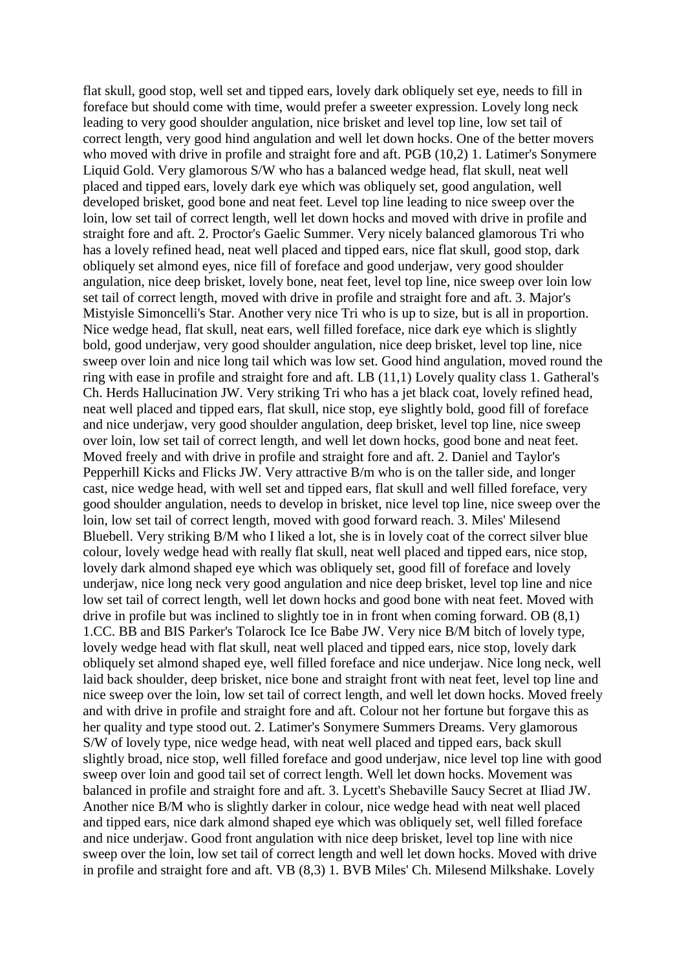flat skull, good stop, well set and tipped ears, lovely dark obliquely set eye, needs to fill in foreface but should come with time, would prefer a sweeter expression. Lovely long neck leading to very good shoulder angulation, nice brisket and level top line, low set tail of correct length, very good hind angulation and well let down hocks. One of the better movers who moved with drive in profile and straight fore and aft. PGB (10,2) 1. Latimer's Sonymere Liquid Gold. Very glamorous S/W who has a balanced wedge head, flat skull, neat well placed and tipped ears, lovely dark eye which was obliquely set, good angulation, well developed brisket, good bone and neat feet. Level top line leading to nice sweep over the loin, low set tail of correct length, well let down hocks and moved with drive in profile and straight fore and aft. 2. Proctor's Gaelic Summer. Very nicely balanced glamorous Tri who has a lovely refined head, neat well placed and tipped ears, nice flat skull, good stop, dark obliquely set almond eyes, nice fill of foreface and good underjaw, very good shoulder angulation, nice deep brisket, lovely bone, neat feet, level top line, nice sweep over loin low set tail of correct length, moved with drive in profile and straight fore and aft. 3. Major's Mistyisle Simoncelli's Star. Another very nice Tri who is up to size, but is all in proportion. Nice wedge head, flat skull, neat ears, well filled foreface, nice dark eye which is slightly bold, good underjaw, very good shoulder angulation, nice deep brisket, level top line, nice sweep over loin and nice long tail which was low set. Good hind angulation, moved round the ring with ease in profile and straight fore and aft. LB (11,1) Lovely quality class 1. Gatheral's Ch. Herds Hallucination JW. Very striking Tri who has a jet black coat, lovely refined head, neat well placed and tipped ears, flat skull, nice stop, eye slightly bold, good fill of foreface and nice underjaw, very good shoulder angulation, deep brisket, level top line, nice sweep over loin, low set tail of correct length, and well let down hocks, good bone and neat feet. Moved freely and with drive in profile and straight fore and aft. 2. Daniel and Taylor's Pepperhill Kicks and Flicks JW. Very attractive B/m who is on the taller side, and longer cast, nice wedge head, with well set and tipped ears, flat skull and well filled foreface, very good shoulder angulation, needs to develop in brisket, nice level top line, nice sweep over the loin, low set tail of correct length, moved with good forward reach. 3. Miles' Milesend Bluebell. Very striking B/M who I liked a lot, she is in lovely coat of the correct silver blue colour, lovely wedge head with really flat skull, neat well placed and tipped ears, nice stop, lovely dark almond shaped eye which was obliquely set, good fill of foreface and lovely underjaw, nice long neck very good angulation and nice deep brisket, level top line and nice low set tail of correct length, well let down hocks and good bone with neat feet. Moved with drive in profile but was inclined to slightly toe in in front when coming forward. OB (8,1) 1.CC. BB and BIS Parker's Tolarock Ice Ice Babe JW. Very nice B/M bitch of lovely type, lovely wedge head with flat skull, neat well placed and tipped ears, nice stop, lovely dark obliquely set almond shaped eye, well filled foreface and nice underjaw. Nice long neck, well laid back shoulder, deep brisket, nice bone and straight front with neat feet, level top line and nice sweep over the loin, low set tail of correct length, and well let down hocks. Moved freely and with drive in profile and straight fore and aft. Colour not her fortune but forgave this as her quality and type stood out. 2. Latimer's Sonymere Summers Dreams. Very glamorous S/W of lovely type, nice wedge head, with neat well placed and tipped ears, back skull slightly broad, nice stop, well filled foreface and good underjaw, nice level top line with good sweep over loin and good tail set of correct length. Well let down hocks. Movement was balanced in profile and straight fore and aft. 3. Lycett's Shebaville Saucy Secret at Iliad JW. Another nice B/M who is slightly darker in colour, nice wedge head with neat well placed and tipped ears, nice dark almond shaped eye which was obliquely set, well filled foreface and nice underjaw. Good front angulation with nice deep brisket, level top line with nice sweep over the loin, low set tail of correct length and well let down hocks. Moved with drive in profile and straight fore and aft. VB (8,3) 1. BVB Miles' Ch. Milesend Milkshake. Lovely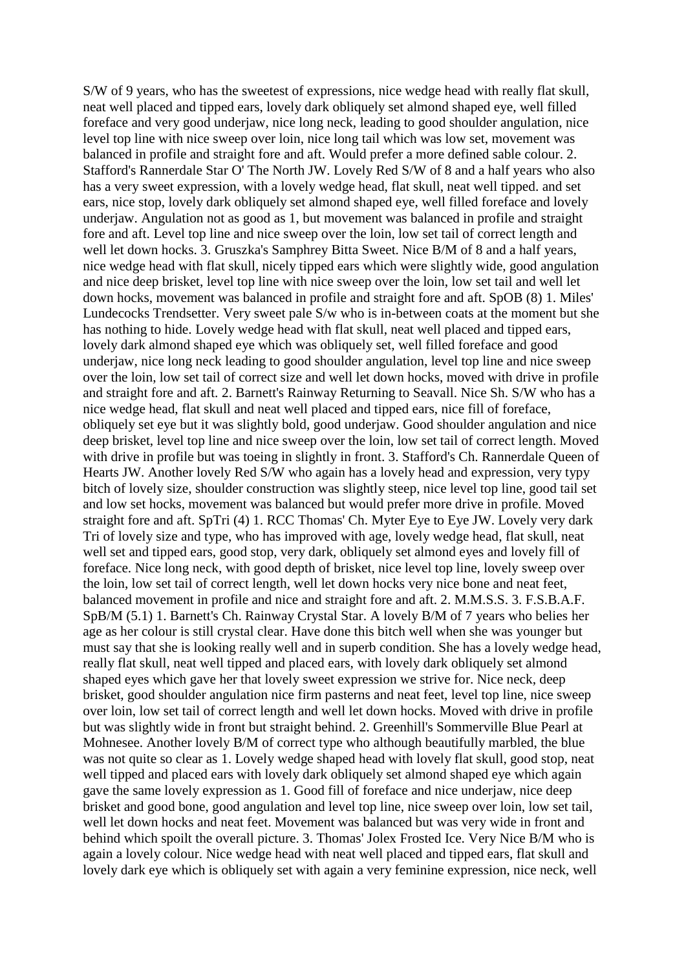S/W of 9 years, who has the sweetest of expressions, nice wedge head with really flat skull, neat well placed and tipped ears, lovely dark obliquely set almond shaped eye, well filled foreface and very good underjaw, nice long neck, leading to good shoulder angulation, nice level top line with nice sweep over loin, nice long tail which was low set, movement was balanced in profile and straight fore and aft. Would prefer a more defined sable colour. 2. Stafford's Rannerdale Star O' The North JW. Lovely Red S/W of 8 and a half years who also has a very sweet expression, with a lovely wedge head, flat skull, neat well tipped. and set ears, nice stop, lovely dark obliquely set almond shaped eye, well filled foreface and lovely underjaw. Angulation not as good as 1, but movement was balanced in profile and straight fore and aft. Level top line and nice sweep over the loin, low set tail of correct length and well let down hocks. 3. Gruszka's Samphrey Bitta Sweet. Nice B/M of 8 and a half years, nice wedge head with flat skull, nicely tipped ears which were slightly wide, good angulation and nice deep brisket, level top line with nice sweep over the loin, low set tail and well let down hocks, movement was balanced in profile and straight fore and aft. SpOB (8) 1. Miles' Lundecocks Trendsetter. Very sweet pale S/w who is in-between coats at the moment but she has nothing to hide. Lovely wedge head with flat skull, neat well placed and tipped ears, lovely dark almond shaped eye which was obliquely set, well filled foreface and good underiaw, nice long neck leading to good shoulder angulation, level top line and nice sweep over the loin, low set tail of correct size and well let down hocks, moved with drive in profile and straight fore and aft. 2. Barnett's Rainway Returning to Seavall. Nice Sh. S/W who has a nice wedge head, flat skull and neat well placed and tipped ears, nice fill of foreface, obliquely set eye but it was slightly bold, good underjaw. Good shoulder angulation and nice deep brisket, level top line and nice sweep over the loin, low set tail of correct length. Moved with drive in profile but was toeing in slightly in front. 3. Stafford's Ch. Rannerdale Queen of Hearts JW. Another lovely Red S/W who again has a lovely head and expression, very typy bitch of lovely size, shoulder construction was slightly steep, nice level top line, good tail set and low set hocks, movement was balanced but would prefer more drive in profile. Moved straight fore and aft. SpTri (4) 1. RCC Thomas' Ch. Myter Eye to Eye JW. Lovely very dark Tri of lovely size and type, who has improved with age, lovely wedge head, flat skull, neat well set and tipped ears, good stop, very dark, obliquely set almond eyes and lovely fill of foreface. Nice long neck, with good depth of brisket, nice level top line, lovely sweep over the loin, low set tail of correct length, well let down hocks very nice bone and neat feet, balanced movement in profile and nice and straight fore and aft. 2. M.M.S.S. 3. F.S.B.A.F. SpB/M (5.1) 1. Barnett's Ch. Rainway Crystal Star. A lovely B/M of 7 years who belies her age as her colour is still crystal clear. Have done this bitch well when she was younger but must say that she is looking really well and in superb condition. She has a lovely wedge head, really flat skull, neat well tipped and placed ears, with lovely dark obliquely set almond shaped eyes which gave her that lovely sweet expression we strive for. Nice neck, deep brisket, good shoulder angulation nice firm pasterns and neat feet, level top line, nice sweep over loin, low set tail of correct length and well let down hocks. Moved with drive in profile but was slightly wide in front but straight behind. 2. Greenhill's Sommerville Blue Pearl at Mohnesee. Another lovely B/M of correct type who although beautifully marbled, the blue was not quite so clear as 1. Lovely wedge shaped head with lovely flat skull, good stop, neat well tipped and placed ears with lovely dark obliquely set almond shaped eye which again gave the same lovely expression as 1. Good fill of foreface and nice underjaw, nice deep brisket and good bone, good angulation and level top line, nice sweep over loin, low set tail, well let down hocks and neat feet. Movement was balanced but was very wide in front and behind which spoilt the overall picture. 3. Thomas' Jolex Frosted Ice. Very Nice B/M who is again a lovely colour. Nice wedge head with neat well placed and tipped ears, flat skull and lovely dark eye which is obliquely set with again a very feminine expression, nice neck, well